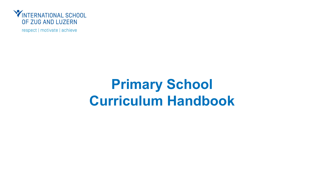

respect | motivate | achieve

## **Primary School Curriculum Handbook**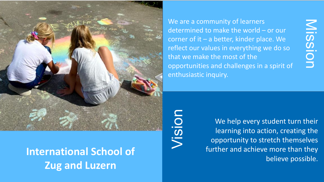

We are a community of learners determined to make the world – or our corner of it – a better, kinder place. We reflect our values in everything we do so that we make the most of the opportunities and challenges in a spirit of enthusiastic inquiry.

Vision

We help every student turn their learning into action, creating the opportunity to stretch themselves further and achieve more than they or our<br>
ce. We<br>
we do so<br>
a spirit of<br> **Bushing the**<br>
tudent turn their<br>
ion, creating the<br>
retch themselves<br>
e more than they<br>
believe possible.

### **International School of Zug and Luzern**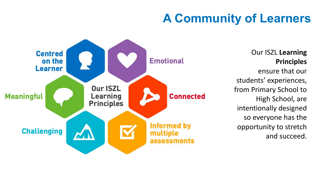## **A Community of Learners**



Our ISZL **Learning Principles**  ensure that our students' experiences, from Primary School to High School, are intentionally designed so everyone has the opportunity to stretch and succeed.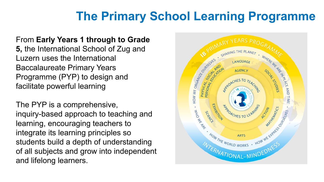## **The Primary School Learning Programme**

From **Early Years 1 through to Grade 5,** the International School of Zug and Luzern uses the International Baccalaureate Primary Years Programme (PYP) to design and facilitate powerful learning

The PYP is a comprehensive, inquiry-based approach to teaching and learning, encouraging teachers to integrate its learning principles so students build a depth of understanding of all subjects and grow into independent and lifelong learners.

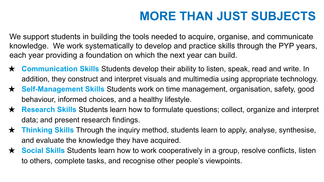## **MORE THAN JUST SUBJECTS**

We support students in building the tools needed to acquire, organise, and communicate knowledge. We work systematically to develop and practice skills through the PYP years, each year providing a foundation on which the next year can build.

- ★ **Communication Skills** Students develop their ability to listen, speak, read and write. In addition, they construct and interpret visuals and multimedia using appropriate technology.
- ★ **Self-Management Skills** Students work on time management, organisation, safety, good behaviour, informed choices, and a healthy lifestyle.
- ★ **Research Skills** Students learn how to formulate questions; collect, organize and interpret data; and present research findings.
- ★ **Thinking Skills** Through the inquiry method, students learn to apply, analyse, synthesise, and evaluate the knowledge they have acquired.
- ★ **Social Skills** Students learn how to work cooperatively in a group, resolve conflicts, listen to others, complete tasks, and recognise other people's viewpoints.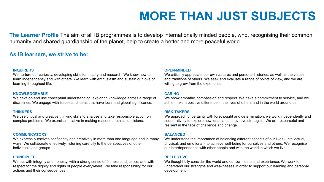### **MORE THAN JUST SUBJECTS**

**The Learner Profile** The aim of all IB programmes is to develop internationally minded people, who, recognising their common humanity and shared guardianship of the planet, help to create a better and more peaceful world.

#### **As IB learners, we strive to be:**

#### **INQUIRERS**

We nurture our curiosity, developing skills for inquiry and research. We know how to learn independently and with others. We learn with enthusiasm and sustain our love of learning throughout life.

#### **KNOWLEDGEABLE**

We develop and use conceptual understanding, exploring knowledge across a range of disciplines. We engage with issues and ideas that have local and global significance.

#### **THINKERS**

We use critical and creative thinking skills to analyse and take responsible action on complex problems. We exercise initiative in making reasoned, ethical decisions.

#### **COMMUNICATORS**

We express ourselves confidently and creatively in more than one language and in many ways. We collaborate effectively, listening carefully to the perspectives of other individuals and groups.

#### **PRINCIPLED**

We act with integrity and honesty, with a strong sense of fairness and justice, and with respect for the dignity and rights of people everywhere. We take responsibility for our actions and their consequences.

#### **OPEN-MINDED**

We critically appreciate our own cultures and personal histories, as well as the values and traditions of others. We seek and evaluate a range of points of view, and we are willing to grow from the experience.

#### **CARING**

We show empathy, compassion and respect. We have a commitment to service, and we act to make a positive difference in the lives of others and in the world around us.

#### **RISK-TAKERS**

We approach uncertainty with forethought and determination; we work independently and cooperatively to explore new ideas and innovative strategies. We are resourceful and resilient in the face of challenge and change.

#### **BALANCED**

We understand the importance of balancing different aspects of our lives - intellectual, physical, and emotional - to achieve well-being for ourselves and others. We recognise our interdependence with other people and with the world in which we live.

#### **REFLECTIVE**

We thoughtfully consider the world and our own ideas and experience. We work to understand our strengths and weaknesses in order to support our learning and personal development.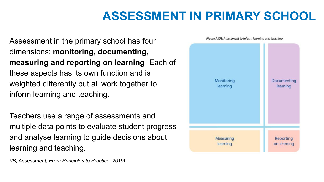### **ASSESSMENT IN PRIMARY SCHOOL**

Assessment in the primary school has four dimensions: **monitoring, documenting, measuring and reporting on learning**. Each of these aspects has its own function and is weighted differently but all work together to inform learning and teaching.

Teachers use a range of assessments and multiple data points to evaluate student progress and analyse learning to guide decisions about learning and teaching.

*(IB, Assessment, From Principles to Practice, 2019)*

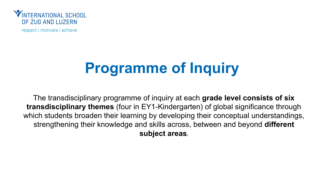

respect | motivate | achieve

# **Programme of Inquiry**

The transdisciplinary programme of inquiry at each **grade level consists of six transdisciplinary themes** (four in EY1-Kindergarten) of global significance through which students broaden their learning by developing their conceptual understandings, strengthening their knowledge and skills across, between and beyond **different subject areas.**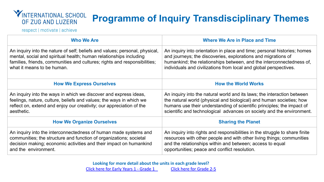

### **Programme of Inquiry Transdisciplinary Themes**

respect | motivate | achieve

| <b>Who We Are</b>                                                           | <b>Where We Are in Place and Time</b>                                       |
|-----------------------------------------------------------------------------|-----------------------------------------------------------------------------|
| An inquiry into the nature of self; beliefs and values; personal, physical, | An inquiry into orientation in place and time; personal histories; homes    |
| mental, social and spiritual health; human relationships including          | and journeys; the discoveries, explorations and migrations of               |
| families, friends, communities and cultures; rights and responsibilities;   | humankind; the relationships between, and the interconnectedness of,        |
| what it means to be human.                                                  | individuals and civilizations from local and global perspectives.           |
| <b>How We Express Ourselves</b>                                             | <b>How the World Works</b>                                                  |
| An inquiry into the ways in which we discover and express ideas,            | An inquiry into the natural world and its laws; the interaction between     |
| feelings, nature, culture, beliefs and values; the ways in which we         | the natural world (physical and biological) and human societies; how        |
| reflect on, extend and enjoy our creativity; our appreciation of the        | humans use their understanding of scientific principles; the impact of      |
| aesthetic.                                                                  | scientific and technological advances on society and the environment.       |
| <b>How We Organize Ourselves</b>                                            | <b>Sharing the Planet</b>                                                   |
| An inquiry into the interconnectedness of human made systems and            | An inquiry into rights and responsibilities in the struggle to share finite |
| communities; the structure and function of organizations; societal          | resources with other people and with other living things; communities       |
| decision making; economic activities and their impact on humankind          | and the relationships within and between; access to equal                   |
| and the environment.                                                        | opportunities; peace and conflict resolution.                               |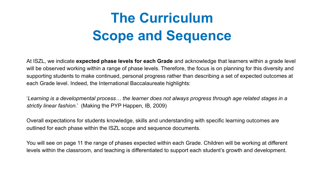## **The Curriculum Scope and Sequence**

At ISZL, we indicate **expected phase levels for each Grade** and acknowledge that learners within a grade level will be observed working within a range of phase levels. Therefore, the focus is on planning for this diversity and supporting students to make continued, personal progress rather than describing a set of expected outcomes at each Grade level. Indeed, the International Baccalaureate highlights:

'*Learning is a developmental process… the learner does not always progress through age related stages in a strictly linear fashion.*' (Making the PYP Happen, IB, 2009)

Overall expectations for students knowledge, skills and understanding with specific learning outcomes are outlined for each phase within the ISZL scope and sequence documents.

You will see on page 11 the range of phases expected within each Grade. Children will be working at different levels within the classroom, and teaching is differentiated to support each student's growth and development.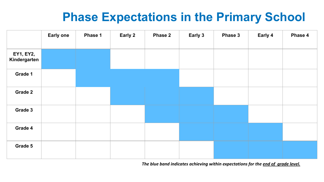### **Phase Expectations in the Primary School**

|                                  | <b>Early one</b> | Phase 1 | Early 2 | Phase 2 | Early 3 | Phase 3 | Early 4 | Phase 4 |
|----------------------------------|------------------|---------|---------|---------|---------|---------|---------|---------|
| <b>EY1, EY2,</b><br>Kindergarten |                  |         |         |         |         |         |         |         |
| Grade 1                          |                  |         |         |         |         |         |         |         |
| <b>Grade 2</b>                   |                  |         |         |         |         |         |         |         |
| Grade 3                          |                  |         |         |         |         |         |         |         |
| Grade 4                          |                  |         |         |         |         |         |         |         |
| Grade 5                          |                  |         |         |         |         |         |         |         |

*The blue band indicates achieving within expectations for the end of grade level.*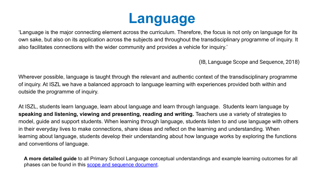

'Language is the major connecting element across the curriculum. Therefore, the focus is not only on language for its own sake, but also on its application across the subjects and throughout the transdisciplinary programme of inquiry. It also facilitates connections with the wider community and provides a vehicle for inquiry.'

(IB, Language Scope and Sequence, 2018)

Wherever possible, language is taught through the relevant and authentic context of the transdisciplinary programme of inquiry. At ISZL we have a balanced approach to language learning with experiences provided both within and outside the programme of inquiry.

At ISZL, students learn language, learn about language and learn through language. Students learn language by **speaking and listening, viewing and presenting, reading and writing.** Teachers use a variety of strategies to model, guide and support students. When learning through language, students listen to and use language with others in their everyday lives to make connections, share ideas and reflect on the learning and understanding. When learning about language, students develop their understanding about how language works by exploring the functions and conventions of language.

**A more detailed guide** to all Primary School Language conceptual understandings and example learning outcomes for all phases can be found in this **[scope and sequence document](https://docs.google.com/document/d/1Rjb8X5DQW8Cdpo0If02QyKCdmZ17bhlupWhFVEJOrR8/edit?usp=sharing)**.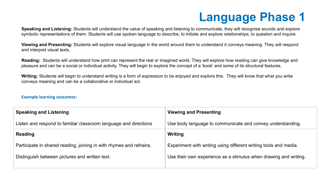**Speaking and Listening:** Students will understand the value of speaking and listening to communicate, they will recognise sounds and explore symbolic representations of them. Students will use spoken language to describe, to initiate and explore relationships, to question and inquire.

**Viewing and Presenting:** Students will explore visual language in the world around them to understand it conveys meaning. They will respond and interpret visual texts.

**Reading:** Students will understand how print can represent the real or imagined world. They will explore how reading can give knowledge and pleasure and can be a social or individual activity. They will begin to explore the concept of a 'book' and some of its structural features.

**Writing:** Students will begin to understand writing is a form of expression to be enjoyed and explore this. They will know that what you write conveys meaning and can be a collaborative or individual act.

| <b>Speaking and Listening</b>                                       | <b>Viewing and Presenting</b>                                    |
|---------------------------------------------------------------------|------------------------------------------------------------------|
| Listen and respond to familiar classroom language and directions    | Use body language to communicate and convey understanding.       |
| Reading                                                             | Writing                                                          |
| Participate in shared reading, joining in with rhymes and refrains. | Experiment with writing using different writing tools and media. |
| Distinguish between pictures and written text.                      | Use their own experience as a stimulus when drawing and writing. |
|                                                                     |                                                                  |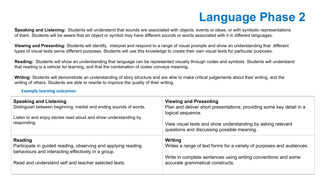**Speaking and Listening:** Students will understand that sounds are associated with objects, events or ideas, or with symbolic representations of them. Students will be aware that an object or symbol may have different sounds or words associated with it in different languages.

**Viewing and Presenting:** Students will identify, interpret and respond to a range of visual prompts and show an understanding that different types of visual texts serve different purposes. Students will use this knowledge to create their own visual texts for particular purposes.

**Reading:** Students will show an understanding that language can be represented visually through codes and symbols. Students will understand that reading is a vehicle for learning, and that the combination of codes conveys meaning,

**Writing:** Students will demonstrate an understanding of story structure and are able to make critical judgements about their writing, and the writing of others. Students are able to rewrite to improve the quality of their writing.

**Speaking and Listening** Distinguish between beginning, medial and ending sounds of words. Listen to and enjoy stories read aloud and show understanding by responding. **Viewing and Presenting** Plan and deliver short presentations, providing some key detail in a logical sequence. View visual texts and show understanding by asking relevant questions and discussing possible meaning. **Reading** Participate in guided reading, observing and applying reading behaviours and interacting effectively in a group. Read and understand self and teacher selected texts. **Writing** Writes a range of text forms for a variety of purposes and audiences. Write in complete sentences using writing conventions and some accurate grammatical constructs.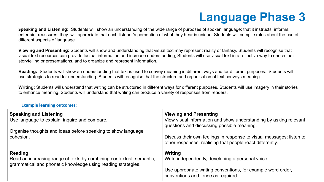**Speaking and Listening:** Students will show an understanding of the wide range of purposes of spoken language: that it instructs, informs, entertain, reassures; they will appreciate that each listener's perception of what they hear is unique. Students will compile rules about the use of different aspects of language.

**Viewing and Presenting:** Students will show and understanding that visual text may represent reality or fantasy. Students will recognise that visual text resources can provide factual information and increase understanding, Students will use visual text in a reflective way to enrich their storytelling or presentations, and to organize and represent information.

**Reading:** Students will show an understanding that text is used to convey meaning in different ways and for different purposes. Students will use strategies to read for understanding. Students will recognise that the structure and organisation of text conveys meaning.

**Writing:** Students will understand that writing can be structured in different ways for different purposes. Students will use imagery in their stories to enhance meaning. Students will understand that writing can produce a variety of responses from readers.

| <b>Speaking and Listening</b><br>Use language to explain, inquire and compare.<br>Organise thoughts and ideas before speaking to show language<br>cohesion. | <b>Viewing and Presenting</b><br>View visual information and show understanding by asking relevant<br>questions and discussing possible meaning.<br>Discuss their own feelings in response to visual messages; listen to<br>other responses, realising that people react differently. |
|-------------------------------------------------------------------------------------------------------------------------------------------------------------|---------------------------------------------------------------------------------------------------------------------------------------------------------------------------------------------------------------------------------------------------------------------------------------|
| <b>Reading</b><br>Read an increasing range of texts by combining contextual, semantic,<br>grammatical and phonetic knowledge using reading strategies.      | Writing<br>Write independently, developing a personal voice.<br>Use appropriate writing conventions, for example word order,<br>conventions and tense as required.                                                                                                                    |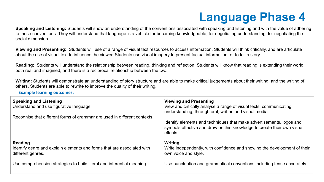**Speaking and Listening:** Students will show an understanding of the conventions associated with speaking and listening and with the value of adhering to those conventions. They will understand that language is a vehicle for becoming knowledgeable; for negotiating understanding; for negotiating the social dimension.

**Viewing and Presenting:** Students will use of a range of visual text resources to access information. Students will think critically, and are articulate about the use of visual text to influence the viewer. Students use visual imagery to present factual information, or to tell a story.

**Reading:** Students will understand the relationship between reading, thinking and reflection. Students will know that reading is extending their world, both real and imagined, and there is a reciprocal relationship between the two.

Writing: Students will demonstrate an understanding of story structure and are able to make critical judgements about their writing, and the writing of others. Students are able to rewrite to improve the quality of their writing.

| <b>Speaking and Listening</b><br>Understand and use figurative language.<br>Recognise that different forms of grammar are used in different contexts. | <b>Viewing and Presenting</b><br>View and critically analyse a range of visual texts, communicating<br>understanding, through oral, written and visual media.<br>Identify elements and techniques that make advertisements, logos and<br>symbols effective and draw on this knowledge to create their own visual<br>effects. |
|-------------------------------------------------------------------------------------------------------------------------------------------------------|------------------------------------------------------------------------------------------------------------------------------------------------------------------------------------------------------------------------------------------------------------------------------------------------------------------------------|
| Reading                                                                                                                                               | Writing                                                                                                                                                                                                                                                                                                                      |
| Identify genre and explain elements and forms that are associated with                                                                                | Write independently, with confidence and showing the development of their                                                                                                                                                                                                                                                    |
| different genres.                                                                                                                                     | own voice and style.                                                                                                                                                                                                                                                                                                         |
| Use comprehension strategies to build literal and inferential meaning.                                                                                | Use punctuation and grammatical conventions including tense accurately.                                                                                                                                                                                                                                                      |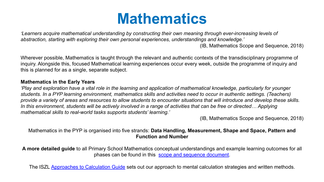## **Mathematics**

*'Learners acquire mathematical understanding by constructing their own meaning through ever-increasing levels of abstraction, starting with exploring their own personal experiences, understandings and knowledge.'* (IB, Mathematics Scope and Sequence, 2018)

Wherever possible, Mathematics is taught through the relevant and authentic contexts of the transdisciplinary programme of inquiry. Alongside this, focused Mathematical learning experiences occur every week, outside the programme of inquiry and this is planned for as a single, separate subject.

#### **Mathematics in the Early Years**

*'Play and exploration have a vital role in the learning and application of mathematical knowledge, particularly for younger students. In a PYP learning environment, mathematics skills and activities need to occur in authentic settings. (Teachers) provide a variety of areas and resources to allow students to encounter situations that will introduce and develop these skills. In this environment, students will be actively involved in a range of activities that can be free or directed… Applying mathematical skills to real-world tasks supports students' learning.'*

(IB, Mathematics Scope and Sequence, 2018)

### Mathematics in the PYP is organised into five strands: **Data Handling, Measurement, Shape and Space, Pattern and Function and Number**

**A more detailed guide** to all Primary School Mathematics conceptual understandings and example learning outcomes for all phases can be found in this [scope and sequence document.](https://docs.google.com/document/d/1-YwJ6QpKQoYXnt0Sm-As_uMbwjW1cV5o2e9Xl2lusXI/edit?usp=sharing)

The ISZL [Approaches to Calculation Guide](https://drive.google.com/file/d/1L_SpzNsA6BUNfNOYRjmKOvZc3K0UUMii/view?usp=sharing) sets out our approach to mental calculation strategies and written methods.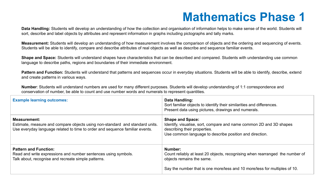**Data Handling:** Students will develop an understanding of how the collection and organisation of information helps to make sense of the world. Students will sort, describe and label objects by attributes and represent information in graphs including pictographs and tally marks.

**Measurement:** Students will develop an understanding of how measurement involves the comparison of objects and the ordering and sequencing of events. Students will be able to identify, compare and describe attributes of real objects as well as describe and sequence familiar events.

**Shape and Space:** Students will understand shapes have characteristics that can be described and compared. Students with understanding use common language to describe paths, regions and boundaries of their immediate environment.

Pattern and Function: Students will understand that patterns and sequences occur in everyday situations. Students will be able to identify, describe, extend and create patterns in various ways.

**Number**: Students will understand numbers are used for many different purposes. Students will develop understanding of 1:1 correspondence and conservation of number, be able to count and use number words and numerals to represent quantities.

| <b>Example learning outcomes:</b>                                                                                                                                                   | Data Handling:<br>Sort familiar objects to identify their similarities and differences.<br>Present data using pictures, drawings and numerals.                                                      |
|-------------------------------------------------------------------------------------------------------------------------------------------------------------------------------------|-----------------------------------------------------------------------------------------------------------------------------------------------------------------------------------------------------|
| <b>Measurement:</b><br>Estimate, measure and compare objects using non-standard and standard units.<br>Use everyday language related to time to order and sequence familiar events. | <b>Shape and Space:</b><br>Identify, visualise, sort, compare and name common 2D and 3D shapes<br>describing their properties.<br>Use common language to describe position and direction.           |
| <b>Pattern and Function:</b><br>Read and write expressions and number sentences using symbols.<br>Talk about, recognise and recreate simple patterns.                               | Number:<br>Count reliably at least 20 objects, recognising when rearranged the number of<br>objects remains the same.<br>Say the number that is one more/less and 10 more/less for multiples of 10. |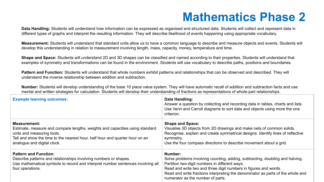**Data Handling:** Students will understand how information can be expressed as organised and structured data. Students will collect and represent data in different types of graphs and interpret the resulting information. They will describe likelihood of events happening using appropriate vocabulary.

**Measurement:** Students will understand that standard units allow us to have a common language to describe and measure objects and events. Students will develop this understanding in relation to measurement involving length, mass, capacity, money, temperature and time.

**Shape and Space:** Students will understand 2D and 3D shapes can be classified and named according to their properties. Students will understand that examples of symmetry and transformations can be found in the environment. Students will use vocabulary to describe paths, positions and boundaries.

**Pattern and Function:** Students will understand that whole numbers exhibit patterns and relationships that can be observed and described. They will understand the inverse relationship between addition and subtraction.

**Number:** Students will develop understanding of the base 10 place value system. They will have automatic recall of addition and subtraction facts and use mental and written strategies for calculation. Students will develop their understanding of fractions as representations of whole-part relationships.

| <b>Example learning outcomes:</b>                                                                                                                                                                                                                | Data Handling:<br>Answer a question by collecting and recording data in tables, charts and lists.<br>Use Venn and Carroll diagrams to sort data and objects using more the one<br>criterion.                                                                                                                                           |
|--------------------------------------------------------------------------------------------------------------------------------------------------------------------------------------------------------------------------------------------------|----------------------------------------------------------------------------------------------------------------------------------------------------------------------------------------------------------------------------------------------------------------------------------------------------------------------------------------|
| <b>Measurement:</b><br>Estimate, measure and compare lengths, weights and capacities using standard<br>units and measuring tools.<br>Tell and show the time to the nearest hour, half hour and quarter hour on an<br>analogue and digital clock. | <b>Shape and Space:</b><br>Visualise 3D objects from 2D drawings and make nets of common solids.<br>Recognise, explain and create symmetrical designs. Identify lines of reflective<br>symmetry.<br>Use the four compass directions to describe movement about a grid.                                                                 |
| <b>Pattern and Function:</b><br>Describe patterns and relationships involving numbers or shapes.<br>Use mathematical symbols to record and interpret number sentences involving all<br>four operations.                                          | Number:<br>Solve problems involving counting, adding, subtracting, doubling and halving.<br>Partition two-digit numbers in different ways.<br>Read and write two and three digit numbers in figures and words.<br>Read and write fractions interpreting the denominator as parts of the whole and<br>numerator as the number of parts. |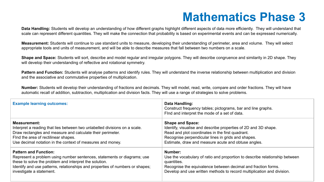**Data Handling:** Students will develop an understanding of how different graphs highlight different aspects of data more efficiently. They will understand that scale can represent different quantities. They will make the connection that probability is based on experimental events and can be expressed numerically.

**Measurement:** Students will continue to use standard units to measure, developing their understanding of perimeter, area and volume. They will select appropriate tools and units of measurement, and will be able to describe measures that fall between two numbers on a scale.

**Shape and Space:** Students will sort, describe and model regular and irregular polygons. They will describe congruence and similarity in 2D shape. They will develop their understanding of reflective and rotational symmetry.

Pattern and Function: Students will analyse patterns and identify rules. They will understand the inverse relationship between multiplication and division and the associative and commutative properties of multiplication.

**Number:** Students will develop their understanding of fractions and decimals. They will model, read, write, compare and order fractions. They will have automatic recall of addition, subtraction, multiplication and division facts. They will use a range of strategies to solve problems.

| <b>Example learning outcomes:</b>                                             | Data Handling:<br>Construct frequency tables; pictograms, bar and line graphs.<br>Find and interpret the mode of a set of data. |
|-------------------------------------------------------------------------------|---------------------------------------------------------------------------------------------------------------------------------|
| <b>Measurement:</b>                                                           | <b>Shape and Space:</b>                                                                                                         |
| Interpret a reading that lies between two unlabelled divisions on a scale.    | Identify, visualise and describe properties of 2D and 3D shape.                                                                 |
| Draw rectangles and measure and calculate their perimeter.                    | Read and plot coordinates in the first quadrant.                                                                                |
| Find the area of rectilinear shapes.                                          | Recognise perpendicular lines in grids and shapes.                                                                              |
| Use decimal notation in the context of measures and money.                    | Estimate, draw and measure acute and obtuse angles.                                                                             |
| <b>Pattern and Function:</b>                                                  | Number:                                                                                                                         |
| Represent a problem using number sentences, statements or diagrams; use       | Use the vocabulary of ratio and proportion to describe relationship between                                                     |
| these to solve the problem and interpret the solution.                        | quantities.                                                                                                                     |
| Identify and use patterns, relationships and properties of numbers or shapes; | Recognise the equivalence between decimal and fraction forms.                                                                   |
| investigate a statement.                                                      | Develop and use written methods to record multiplication and division.                                                          |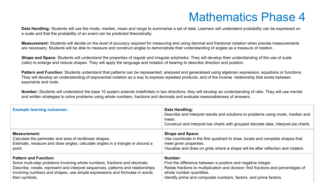**Data Handling:** Students will use the mode, median, mean and range to summarise a set of data. Learners will understand probability can be expressed on a scale and that the probability of an event can be predicted theoretically.

**Measurement:** Students will decide on the level of accuracy required for measuring and using decimal and fractional notation when precise measurements are necessary. Students will be able to measure and construct angles to demonstrate their understanding of angles as a measure of rotation. .

**Shape and Space:** Students will understand the properties of regular and irregular polyhedra. They will develop their understanding of the use of scale (ratio) to enlarge and reduce shapes. They will apply the language and notation of bearing to describe direction and position.

Pattern and Function: Students understand that patterns can be represented, analysed and generalised using algebraic expression, equations or functions. They will develop an understanding of exponential notation as a way to express repeated products, and of the inverse relationship that exists between exponents and roots.

**Number:** Students will understand the base 10 system extends indefinitely in two directions. they will develop an understanding of ratio. They will use mental and written strategies to solve problems using whole numbers, fractions and decimals and evaluate reasonableness of answers.

| <b>Example learning outcomes:</b>                                               | Data Handling:<br>Describe and interpret results and solutions to problems using mode, median and<br>mean.<br>Construct and interpret bar charts with grouped discrete data, interpret pie charts. |
|---------------------------------------------------------------------------------|----------------------------------------------------------------------------------------------------------------------------------------------------------------------------------------------------|
| <b>Measurement:</b>                                                             | <b>Shape and Space:</b>                                                                                                                                                                            |
| Calculate the perimeter and area of rectilinear shapes.                         | Use coordinate in the first quadrant to draw, locate and complete shapes that                                                                                                                      |
| Estimate, measure and draw angles; calculate angles in a triangle or around a   | meet given properties.                                                                                                                                                                             |
| point.                                                                          | Visualise and draw on grids where a shape will be after reflection and rotation.                                                                                                                   |
| <b>Pattern and Function:</b>                                                    | Number:                                                                                                                                                                                            |
| Solve multi-step problems involving whole numbers, fractions and decimals.      | Find the difference between a positive and negative integer.                                                                                                                                       |
| Describe, create, represent and interpret sequences, patterns and relationships | Relate fractions to multiplication and division; find fractions and percentages of                                                                                                                 |
| involving numbers and shapes, use simple expressions and formulae in words      | whole number quantities.                                                                                                                                                                           |
| then symbols.                                                                   | Identify prime and composite numbers, factors, and prime factors.                                                                                                                                  |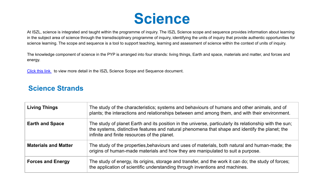

At ISZL, science is integrated and taught within the programme of inquiry. The ISZL Science scope and sequence provides information about learning in the subject area of science through the transdisciplinary programme of inquiry, identifying the units of inquiry that provide authentic opportunities for science learning. The scope and sequence is a tool to support teaching, learning and assessment of science within the context of units of inquiry.

The knowledge component of science in the PYP is arranged into four strands: living things, Earth and space, materials and matter, and forces and energy.

[Click this link](https://docs.google.com/document/d/1oFG7M2uawUX0a4IIgzlAFULWuf-EoCvK4l0jP0X2qrM/edit?usp=sharing) to view more detail in the ISZL Science Scope and Sequence document.

### **Science Strands**

| <b>Living Things</b>        | The study of the characteristics; systems and behaviours of humans and other animals, and of<br>plants; the interactions and relationships between amd among them, and with their environment.                                                             |
|-----------------------------|------------------------------------------------------------------------------------------------------------------------------------------------------------------------------------------------------------------------------------------------------------|
| <b>Earth and Space</b>      | The study of planet Earth and its position in the universe, particularly its relationship with the sun;<br>the systems, distinctive features and natural phenomena that shape and identify the planet; the<br>infinite and finite resources of the planet. |
| <b>Materials and Matter</b> | The study of the properties, behaviours and uses of materials, both natural and human-made; the<br>origins of human-made materials and how they are manipulated to suit a purpose.                                                                         |
| <b>Forces and Energy</b>    | The study of energy, its origins, storage and transfer, and the work it can do; the study of forces;<br>the application of scientific understanding through inventions and machines.                                                                       |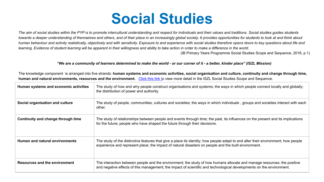## **Social Studies**

*The aim of social studies within the PYP is to promote intercultural understanding and respect for individuals and their values and traditions. Social studies guides students towards a deeper understanding of themselves and others, and of their place in an increasingly global society. It provides opportunities for students to look at and think about human behaviour and activity realistically, objectively and with sensitivity. Exposure to and experience with social studies therefore opens doors to key questions about life and learning. Evidence of student learning will be apparent in their willingness and ability to take action in order to make a difference in the world.* 

(IB Primary Years Programme Social Studies Scope and Sequence, 2018, p.1)

#### *"We are a community of learners determined to make the world - or our corner of it - a better, kinder place" (ISZL Mission)*

The knowledge component is arranged into five strands: **human systems and economic activities, social organisation and culture, continuity and change through time, human and natural environments, resources and the environment.** [Click this link to](https://docs.google.com/document/d/14Ag9MWCx3C6rRwpG2WCKHNOlCaO_H0tOtelSly11KYU/edit?usp=sharing) view more detail in the ISZL Social Studies Scope and Sequence.

| Human systems and economic activities | The study of how and why people construct organisations and systems; the ways in which people connect locally and globally;<br>the distribution of power and authority.                                                                         |
|---------------------------------------|-------------------------------------------------------------------------------------------------------------------------------------------------------------------------------------------------------------------------------------------------|
| Social organisation and culture       | The study of people, communities, cultures and societies; the ways in which individuals, groups and societies interact with each<br>other.                                                                                                      |
| Continuity and change through time    | The study of relationships between people and events through time; the past, its influences on the present and its implications<br>for the future; people who have shaped the future through their decisions.                                   |
| <b>Human and natural environments</b> | The study of the distinctive features that give a place its identity; how people adapt to and alter their environment; how people<br>experience and represent place; the impact of natural disasters on people and the built environment.       |
| Resources and the environment         | The interaction between people and the environment; the study of how humans allocate and manage resources; the positive<br>and negative effects of this management; the impact of scientific and technological developments on the environment. |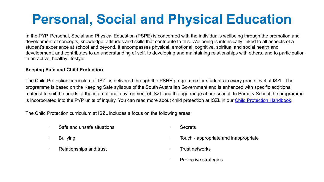## **Personal, Social and Physical Education**

In the PYP, Personal, Social and Physical Education (PSPE) is concerned with the individual's wellbeing through the promotion and development of concepts, knowledge, attitudes and skills that contribute to this. Wellbeing is intrinsically linked to all aspects of a student's experience at school and beyond. It encompasses physical, emotional, cognitive, spiritual and social health and development, and contributes to an understanding of self, to developing and maintaining relationships with others, and to participation in an active, healthy lifestyle.

#### **Keeping Safe and Child Protection**

The Child Protection curriculum at ISZL is delivered through the PSHE programme for students in every grade level at ISZL. The programme is based on the Keeping Safe syllabus of the South Australian Government and is enhanced with specific additional material to suit the needs of the international environment of ISZL and the age range at our school. In Primary School the programme is incorporated into the PYP units of inquiry. You can read more about child protection at ISZL in our [Child Protection Handbook.](https://resources.finalsite.net/images/v1616506644/zug/haq27ysdj3wnhbfjknyn/ChildProtectionHandbook_Formatted2020-2021.pdf)

The Child Protection curriculum at ISZL includes a focus on the following areas:

- Safe and unsafe situations
- · Bullying
- · Relationships and trust
- · Secrets
- · Touch appropriate and inappropriate
- · Trust networks
- · Protective strategies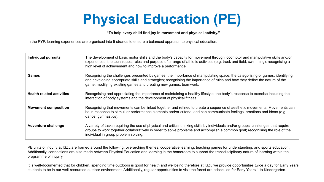## **Physical Education (PE)**

**"To help every child find joy in movement and physical activity."**

In the PYP, learning experiences are organised into 5 strands to ensure a balanced approach to physical education:

| <b>Individual pursuits</b>       | The development of basic motor skills and the body's capacity for movement through locomotor and manipulative skills and/or<br>experiences; the techniques, rules and purpose of a range of athletic activities (e.g. track and field, swimming); recognising a<br>high level of achievement and how to improve a performance. |
|----------------------------------|--------------------------------------------------------------------------------------------------------------------------------------------------------------------------------------------------------------------------------------------------------------------------------------------------------------------------------|
| Games                            | Recognising the challenges presented by games; the importance of manipulating space; the categorising of games; identifying<br>and developing appropriate skills and strategies; recognising the importance of rules and how they define the nature of the<br>game; modifying existing games and creating new games; teamwork. |
| <b>Health related activities</b> | Recognising and appreciating the importance of maintaining a healthy lifestyle; the body's response to exercise including the<br>interaction of body systems and the development of physical fitness.                                                                                                                          |
| <b>Movement composition</b>      | Recognising that movements can be linked together and refined to create a sequence of aesthetic movements. Movements can<br>be in response to stimuli or performance elements and/or criteria, and can communicate feelings, emotions and ideas (e.g.<br>dance, gymnastics).                                                   |
| <b>Adventure challenge</b>       | A variety of tasks requiring the use of physical and critical thinking skills by individuals and/or groups; challenges that require<br>groups to work together collaboratively in order to solve problems and accomplish a common goal; recognising the role of the<br>individual in group problem solving.                    |

PE units of inquiry at ISZL are framed around the following, overarching themes: cooperative learning, teaching games for understanding, and sports education. Additionally, connections are also made between Physical Education and learning in the homeroom to support the transdisciplinary nature of learning within the programme of inquiry.

It is well-documented that for children, spending time outdoors is good for health and wellbeing therefore at ISZL we provide opportunities twice a day for Early Years students to be in our well-resourced outdoor environment. Additionally, regular opportunities to visit the forest are scheduled for Early Years 1 to Kindergarten.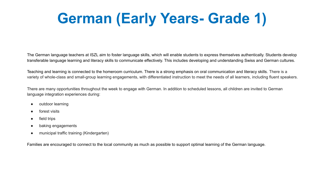# **German (Early Years- Grade 1)**

The German language teachers at ISZL aim to foster language skills, which will enable students to express themselves authentically. Students develop transferable language learning and literacy skills to communicate effectively. This includes developing and understanding Swiss and German cultures.

Teaching and learning is connected to the homeroom curriculum. There is a strong emphasis on oral communication and literacy skills. There is a variety of whole-class and small-group learning engagements, with differentiated instruction to meet the needs of all learners, including fluent speakers.

There are many opportunities throughout the week to engage with German. In addition to scheduled lessons, all children are invited to German language integration experiences during:

- outdoor learning
- forest visits
- field trips
- baking engagements
- municipal traffic training (Kindergarten)

Families are encouraged to connect to the local community as much as possible to support optimal learning of the German language.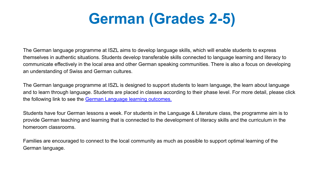# **German (Grades 2-5)**

The German language programme at ISZL aims to develop language skills, which will enable students to express themselves in authentic situations. Students develop transferable skills connected to language learning and literacy to communicate effectively in the local area and other German speaking communities. There is also a focus on developing an understanding of Swiss and German cultures.

The German language programme at ISZL is designed to support students to learn language, the learn about language and to learn through language. Students are placed in classes according to their phase level. For more detail, please click the following link to see the [German Language learning outcomes.](https://docs.google.com/document/d/1vgr1MWebyIOl3nJ7nImc_wSkIMaChJmB5c15Y75bDxI/edit?usp=sharing)

Students have four German lessons a week. For students in the Language & Literature class, the programme aim is to provide German teaching and learning that is connected to the development of literacy skills and the curriculum in the homeroom classrooms.

Families are encouraged to connect to the local community as much as possible to support optimal learning of the German language.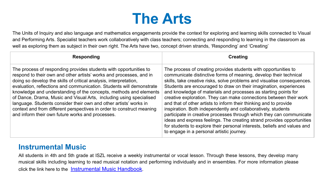## **The Arts**

The Units of Inquiry and also language and mathematics engagements provide the context for exploring and learning skills connected to Visual and Performing Arts. Specialist teachers work collaboratively with class teachers; connecting and responding to learning in the classroom as well as exploring them as subject in their own right. The Arts have two, concept driven strands, 'Responding' and 'Creating'

| <b>Responding</b>                                                                                                                                                                                                                                                                                                                                                                                                                                                                                                                                                                                                                   | <b>Creating</b>                                                                                                                                                                                                                                                                                                                                                                                                                                                                                                                                                                                                                                                                                                                                                                                                                                |
|-------------------------------------------------------------------------------------------------------------------------------------------------------------------------------------------------------------------------------------------------------------------------------------------------------------------------------------------------------------------------------------------------------------------------------------------------------------------------------------------------------------------------------------------------------------------------------------------------------------------------------------|------------------------------------------------------------------------------------------------------------------------------------------------------------------------------------------------------------------------------------------------------------------------------------------------------------------------------------------------------------------------------------------------------------------------------------------------------------------------------------------------------------------------------------------------------------------------------------------------------------------------------------------------------------------------------------------------------------------------------------------------------------------------------------------------------------------------------------------------|
| The process of responding provides students with opportunities to<br>respond to their own and other artists' works and processes, and in<br>doing so develop the skills of critical analysis, interpretation,<br>evaluation, reflections and communication. Students will demonstrate<br>knowledge and understanding of the concepts, methods and elements<br>of Dance, Drama, Music and Visual Arts, including using specialised<br>language. Students consider their own and other artists' works in<br>context and from different perspectives in order to construct meaning<br>and inform their own future works and processes. | The process of creating provides students with opportunities to<br>communicate distinctive forms of meaning, develop their technical<br>skills, take creative risks, solve problems and visualise consequences.<br>Students are encouraged to draw on their imagination, experiences<br>and knowledge of materials and processes as starting points for<br>creative exploration. They can make connections between their work<br>and that of other artists to inform their thinking and to provide<br>inspiration. Both independently and collaboratively, students<br>participate in creative processes through which they can communicate<br>ideas and express feelings. The creating strand provides opportunities<br>for students to explore their personal interests, beliefs and values and<br>to engage in a personal artistic journey. |

### **Instrumental Music**

All students in 4th and 5th grade at ISZL receive a weekly instrumental or vocal lesson. Through these lessons, they develop many musical skills including learning to read musical notation and performing individually and in ensembles. For more information please click the link here to the [Instrumental Music Handbook](https://docs.google.com/a/iszl.org/presentation/d/1X3gvxQzVEELCRFeR20aMpek5g-XLW47OdZM6nby-Zxw/edit?usp=sharing).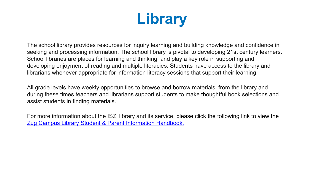## **Library**

The school library provides resources for inquiry learning and building knowledge and confidence in seeking and processing information. The school library is pivotal to developing 21st century learners. School libraries are places for learning and thinking, and play a key role in supporting and developing enjoyment of reading and multiple literacies. Students have access to the library and librarians whenever appropriate for information literacy sessions that support their learning.

All grade levels have weekly opportunities to browse and borrow materials from the library and during these times teachers and librarians support students to make thoughtful book selections and assist students in finding materials.

For more information about the ISZl library and its service, please click the following link to view the [Zug Campus Library Student & Parent Information Handbook.](https://docs.google.com/document/d/1H3_ytAKBo77z7jyvqHxIDn0p9SEqDRgjghzIz4a4bZM/edit)